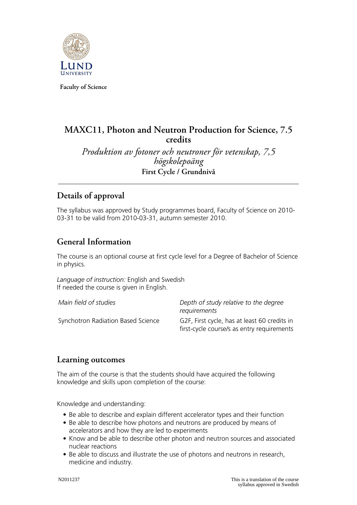

**Faculty of Science**

# **MAXC11, Photon and Neutron Production for Science, 7.5 credits**

*Produktion av fotoner och neutroner för vetenskap, 7,5 högskolepoäng* **First Cycle / Grundnivå**

# **Details of approval**

The syllabus was approved by Study programmes board, Faculty of Science on 2010- 03-31 to be valid from 2010-03-31, autumn semester 2010.

# **General Information**

The course is an optional course at first cycle level for a Degree of Bachelor of Science in physics.

*Language of instruction:* English and Swedish If needed the course is given in English.

| Main field of studies              | Depth of study relative to the degree<br>requirements                                      |
|------------------------------------|--------------------------------------------------------------------------------------------|
| Synchotron Radiation Based Science | G2F, First cycle, has at least 60 credits in<br>first-cycle course/s as entry requirements |

### **Learning outcomes**

The aim of the course is that the students should have acquired the following knowledge and skills upon completion of the course:

Knowledge and understanding:

- Be able to describe and explain different accelerator types and their function
- Be able to describe how photons and neutrons are produced by means of accelerators and how they are led to experiments
- Know and be able to describe other photon and neutron sources and associated nuclear reactions
- Be able to discuss and illustrate the use of photons and neutrons in research, medicine and industry.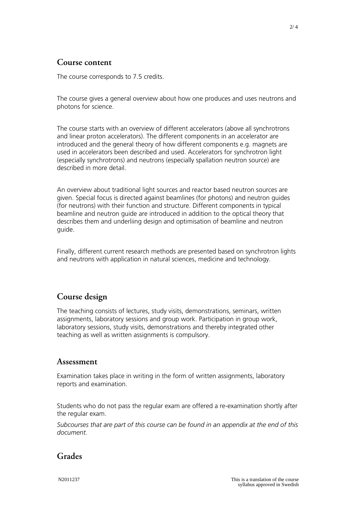### **Course content**

The course corresponds to 7.5 credits.

The course gives a general overview about how one produces and uses neutrons and photons for science.

The course starts with an overview of different accelerators (above all synchrotrons and linear proton accelerators). The different components in an accelerator are introduced and the general theory of how different components e.g. magnets are used in accelerators been described and used. Accelerators for synchrotron light (especially synchrotrons) and neutrons (especially spallation neutron source) are described in more detail.

An overview about traditional light sources and reactor based neutron sources are given. Special focus is directed against beamlines (for photons) and neutron guides (for neutrons) with their function and structure. Different components in typical beamline and neutron guide are introduced in addition to the optical theory that describes them and underliing design and optimisation of beamline and neutron guide.

Finally, different current research methods are presented based on synchrotron lights and neutrons with application in natural sciences, medicine and technology.

## **Course design**

The teaching consists of lectures, study visits, demonstrations, seminars, written assignments, laboratory sessions and group work. Participation in group work, laboratory sessions, study visits, demonstrations and thereby integrated other teaching as well as written assignments is compulsory.

#### **Assessment**

Examination takes place in writing in the form of written assignments, laboratory reports and examination.

Students who do not pass the regular exam are offered a re-examination shortly after the regular exam.

*Subcourses that are part of this course can be found in an appendix at the end of this document.*

## **Grades**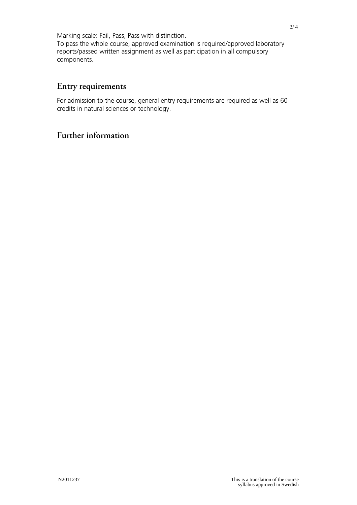Marking scale: Fail, Pass, Pass with distinction. To pass the whole course, approved examination is required/approved laboratory reports/passed written assignment as well as participation in all compulsory components.

## **Entry requirements**

For admission to the course, general entry requirements are required as well as 60 credits in natural sciences or technology.

### **Further information**